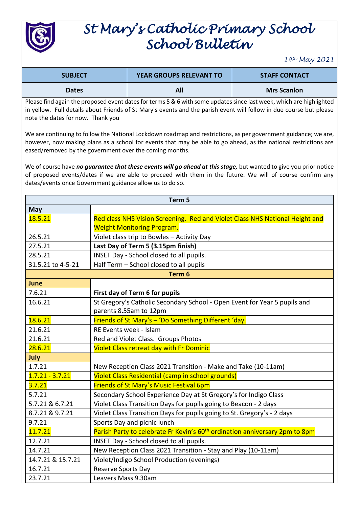

## *St Mary's Catholic Primary School School Bulletin*

*14th May 2021*

| <b>SUBJECT</b> | <b>YEAR GROUPS RELEVANT TO</b> | <b>STAFF CONTACT</b> |
|----------------|--------------------------------|----------------------|
| <b>Dates</b>   | All                            | <b>Mrs Scanlon</b>   |

Please find again the proposed event dates for terms 5 & 6 with some updates since last week, which are highlighted in yellow. Full details about Friends of St Mary's events and the parish event will follow in due course but please note the dates for now. Thank you

We are continuing to follow the National Lockdown roadmap and restrictions, as per government guidance; we are, however, now making plans as a school for events that may be able to go ahead, as the national restrictions are eased/removed by the government over the coming months.

We of course have *no guarantee that these events will go ahead at this stage,* but wanted to give you prior notice of proposed events/dates if we are able to proceed with them in the future. We will of course confirm any dates/events once Government guidance allow us to do so.

| Term 5            |                                                                                         |  |  |
|-------------------|-----------------------------------------------------------------------------------------|--|--|
| <b>May</b>        |                                                                                         |  |  |
| 18.5.21           | Red class NHS Vision Screening. Red and Violet Class NHS National Height and            |  |  |
|                   | <b>Weight Monitoring Program.</b>                                                       |  |  |
| 26.5.21           | Violet class trip to Bowles - Activity Day                                              |  |  |
| 27.5.21           | Last Day of Term 5 (3.15pm finish)                                                      |  |  |
| 28.5.21           | INSET Day - School closed to all pupils.                                                |  |  |
| 31.5.21 to 4-5-21 | Half Term - School closed to all pupils                                                 |  |  |
| Term <sub>6</sub> |                                                                                         |  |  |
| June              |                                                                                         |  |  |
| 7.6.21            | First day of Term 6 for pupils                                                          |  |  |
| 16.6.21           | St Gregory's Catholic Secondary School - Open Event for Year 5 pupils and               |  |  |
|                   | parents 8.55am to 12pm                                                                  |  |  |
| 18.6.21           | Friends of St Mary's - 'Do Something Different 'day.                                    |  |  |
| 21.6.21           | RE Events week - Islam                                                                  |  |  |
| 21.6.21           | Red and Violet Class. Groups Photos                                                     |  |  |
| 28.6.21           | <b>Violet Class retreat day with Fr Dominic</b>                                         |  |  |
| July              |                                                                                         |  |  |
| 1.7.21            | New Reception Class 2021 Transition - Make and Take (10-11am)                           |  |  |
| $1.7.21 - 3.7.21$ | Violet Class Residential (camp in school grounds)                                       |  |  |
| 3.7.21            | Friends of St Mary's Music Festival 6pm                                                 |  |  |
| 5.7.21            | Secondary School Experience Day at St Gregory's for Indigo Class                        |  |  |
| 5.7.21 & 6.7.21   | Violet Class Transition Days for pupils going to Beacon - 2 days                        |  |  |
| 8.7.21 & 9.7.21   | Violet Class Transition Days for pupils going to St. Gregory's - 2 days                 |  |  |
| 9.7.21            | Sports Day and picnic lunch                                                             |  |  |
| 11.7.21           | Parish Party to celebrate Fr Kevin's 60 <sup>th</sup> ordination anniversary 2pm to 8pm |  |  |
| 12.7.21           | INSET Day - School closed to all pupils.                                                |  |  |
| 14.7.21           | New Reception Class 2021 Transition - Stay and Play (10-11am)                           |  |  |
| 14.7.21 & 15.7.21 | Violet/Indigo School Production (evenings)                                              |  |  |
| 16.7.21           | Reserve Sports Day                                                                      |  |  |
| 23.7.21           | Leavers Mass 9.30am                                                                     |  |  |